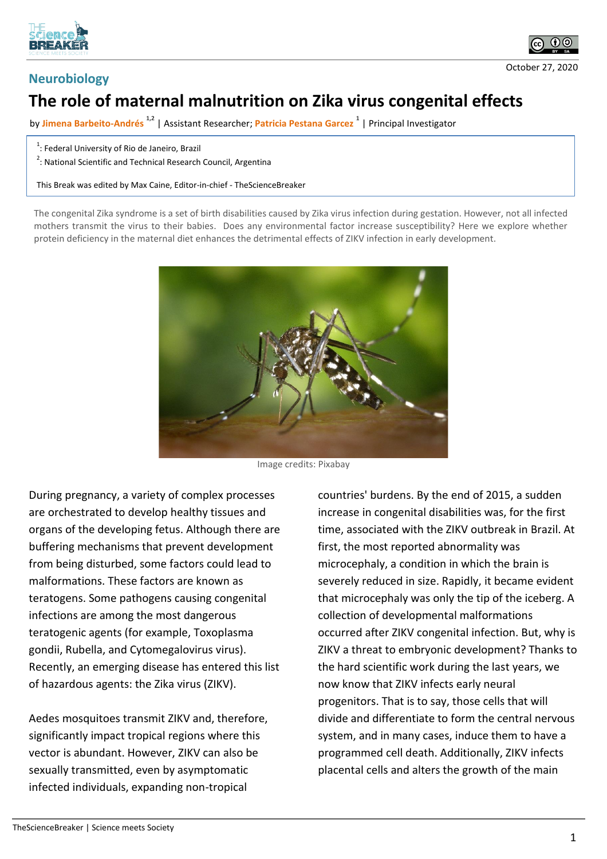



## **Neurobiology**

## October 27, 2020

## **The role of maternal malnutrition on Zika virus congenital effects**

by **Jimena Barbeito-Andrés 1,2** | Assistant Researcher; **Patricia Pestana Garcez <sup>1</sup>** | Principal Investigator

 $1$ : Federal University of Rio de Janeiro, Brazil

<sup>2</sup>: National Scientific and Technical Research Council, Argentina

This Break was edited by Max Caine, Editor-in-chief - TheScienceBreaker

The congenital Zika syndrome is a set of birth disabilities caused by Zika virus infection during gestation. However, not all infected mothers transmit the virus to their babies. Does any environmental factor increase susceptibility? Here we explore whether protein deficiency in the maternal diet enhances the detrimental effects of ZIKV infection in early development.



Image credits: Pixabay

During pregnancy, a variety of complex processes are orchestrated to develop healthy tissues and organs of the developing fetus. Although there are buffering mechanisms that prevent development from being disturbed, some factors could lead to malformations. These factors are known as teratogens. Some pathogens causing congenital infections are among the most dangerous teratogenic agents (for example, Toxoplasma gondii, Rubella, and Cytomegalovirus virus). Recently, an emerging disease has entered this list of hazardous agents: the Zika virus (ZIKV).

Aedes mosquitoes transmit ZIKV and, therefore, significantly impact tropical regions where this vector is abundant. However, ZIKV can also be sexually transmitted, even by asymptomatic infected individuals, expanding non-tropical

countries' burdens. By the end of 2015, a sudden increase in congenital disabilities was, for the first time, associated with the ZIKV outbreak in Brazil. At first, the most reported abnormality was microcephaly, a condition in which the brain is severely reduced in size. Rapidly, it became evident that microcephaly was only the tip of the iceberg. A collection of developmental malformations occurred after ZIKV congenital infection. But, why is ZIKV a threat to embryonic development? Thanks to the hard scientific work during the last years, we now know that ZIKV infects early neural progenitors. That is to say, those cells that will divide and differentiate to form the central nervous system, and in many cases, induce them to have a programmed cell death. Additionally, ZIKV infects placental cells and alters the growth of the main